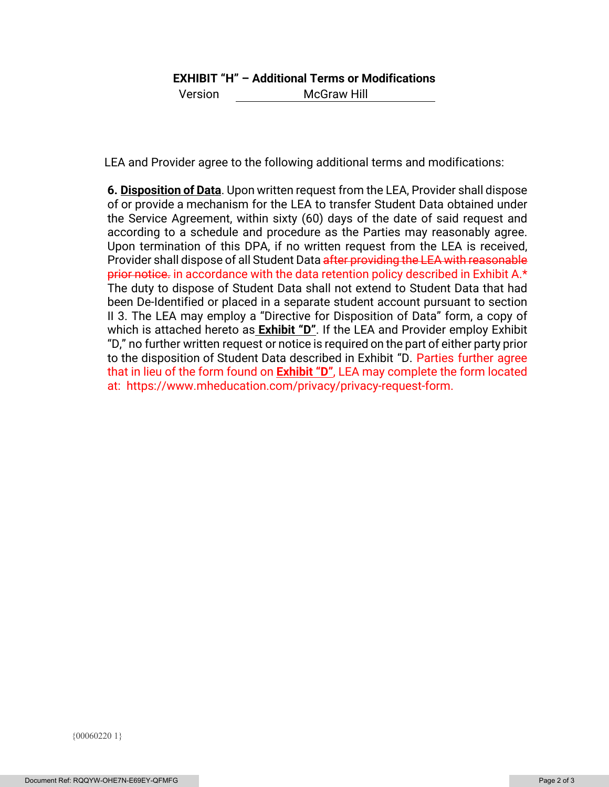# **EXHIBIT "H" – Additional Terms or Modifications**

Version McGraw Hill

LEA and Provider agree to the following additional terms and modifications:

**6. Disposition of Data**. Upon written request from the LEA, Provider shall dispose of or provide a mechanism for the LEA to transfer Student Data obtained under the Service Agreement, within sixty (60) days of the date of said request and according to a schedule and procedure as the Parties may reasonably agree. Upon termination of this DPA, if no written request from the LEA is received, Provider shall dispose of all Student Data after providing the LEA with reasonable prior notice. in accordance with the data retention policy described in Exhibit A.\* The duty to dispose of Student Data shall not extend to Student Data that had been De-Identified or placed in a separate student account pursuant to section II 3. The LEA may employ a "Directive for Disposition of Data" form, a copy of which is attached hereto as **Exhibit "D"**. If the LEA and Provider employ Exhibit "D," no further written request or notice is required on the part of either party prior to the disposition of Student Data described in Exhibit "D. Parties further agree that in lieu of the form found on **Exhibit "D"**, LEA may complete the form located at: https://www.mheducation.com/privacy/privacy-request-form.

{00060220 1}